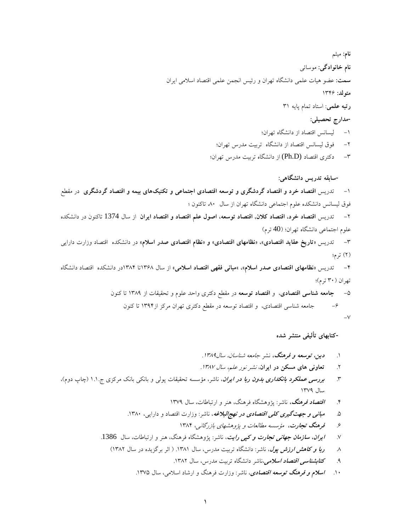**نام:** ميثم **نام خانوادگي:** موسائي **سمت:** عضو هيات علمي دانشگاه تهران و رئيس انجمن علمي اقتصاد اسالمي ايران **متولد:** 1346 **رتبه علمي**: استاد تمام پايه 31 **-مدارج تحصيلي:** -1 ليسانس اقتصاد از دانشگاه تهران؛ -2 فوق ليسانس اقتصاد از دانشگاه تربيت مدرس تهران؛ -3 دكتري اقتصاد (D.Ph (از دانشگاه تربيت مدرس تهران؛ **-سابقه تدريس دانشگاهي:** -1 تدريس **اقتصاد خرد و اقتصاد گردشگري و توسعه اقتصادي اجتماعي و تكنيكهاي بيمه و اقتصاد گردشگري** در مقطع فوق ليسانس دانشكده علوم اجتماعي دانشگاه تهران از سال ،80 تاكنون ؛ -2 تدريس **اقتصاد خرد، اقتصاد كالن, اقتصاد توسعه، اصول علم اقتصاد و اقتصاد ايران** از سال 1374 تاكنون در دانشكده علوم اجتماعی دانشگاه تهران؛ (40 ترم) -3 تدريس **»تاريخ عقايد اقتصادي«، »نظامهاي اقتصادي« و »نظام اقتصادي صدر اسالم«** در دانشكده اقتصاد وزارت دارايي )2( ترم؛ -4 تدريس **»نظامهاي اقتصادي صدر اسالم«، «مباني فقهي اقتصاد اسالمي«** از سال 1368تا 1384در دانشكده اقتصاد دانشگاه تهران (۳۰ ترم)؛ -5 **جامعه شناسي اقتصادي**، و **اقتصاد توسعه** در مقطع دكتري واحد علوم و تحقيقات از 1389 تا كنون -6 جامعه شناسي اقتصادي، و اقتصاد توسعه در مقطع دكتري تهران مركز از1394 تا كنون **-كتابهاي تأليفي منتشر شده**

.1 **دين، توسعه و فرهنگ،** نشر جامعه شناسان، سال.1389

 $-V$ 

.2 **تعاوني هاي مسكن در ايران**، نشر نور علم، سال .1387

- .3 **بررسي عملكرد بانكداري بدون ربا در ايران**، ناشر، مؤسسه تحقيقات پولي و بانكي بانك مركزي ج1.1. )چاپ دوم(، سال 1379
	- .4 **اقتصاد فرهنگ،** ناشر: پژوهشگاه فرهنگ، هنر و ارتباطات، سال 1379
	- .5 **مباني و جهتگيري كلي اقتصادي در نهجالبالغه**، ناشر: وزارت اقتصاد و دارايي، .1380
		- .6 **فرهنگ تجارت،** مؤسسه مطالعات و پژوهشهاي بازرگاني، 1384
	- .7 **ايران، سازمان جهاني تجارت و كپي رايت**، ناشر: پژوهشگاه فرهنگ، هنر و ارتباطات، سال .1386
		- .8 **ربا و كاهش ارزش پول**، ناشر: دانشگاه تربيت مدرس، سال .1381 ) اثر برگزيده در سال 1382(
			- ۹. **كت***ابشناسي اقتصاد اسلامي،ن***ا**شر دانشگاه تربيت مدرس، سال ۱۳۸۲.
			- .10 **اسالم و فرهنگ توسعه اقتصادي**، ناشر: وزارت فرهنگ و ارشاد اسالمي، سال .1375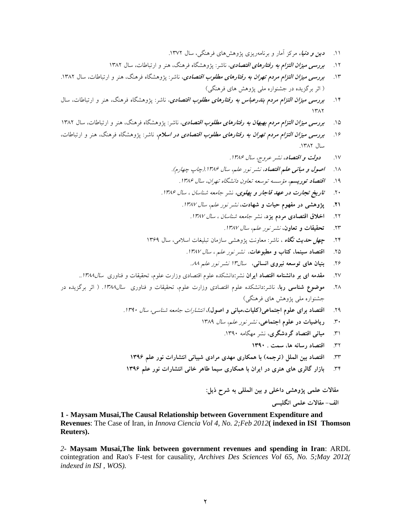- .11 **دين و دنيا،** مركز آمار و برنامهريزي پژوهشهاي فرهنگي، سال .1372
- .12 **بررسي ميزان التزام به رفتارهاي اقتصادي**، ناشر: پژوهشگاه فرهنگ، هنر و ارتباطات، سال 1382
- .13 **بررسي ميزان التزام مردم تهران به رفتارهاي مطلوب اقتصادي**، ناشر: پژوهشگاه فرهنگ، هنر و ارتباطات، سال .1382 ) اثر برگزيده در جشنواره ملي پژوهش هاي فرهنگي(
- .14 **بررسي ميزان التزام مردم بندرعباس به رفتارهاي مطلوب اقتصادي**، ناشر: پژوهشگاه فرهنگ، هنر و ارتباطات، سال  $147$
- .15 **بررسي ميزان التزام مردم بهبهان به رفتارهاي مطلوب اقتصادي**، ناشر: پژوهشگاه فرهنگ، هنر و ارتباطات، سال 1382
- .16 **بررسي ميزان التزام مردم تهران به رفتارهاي مطلوب اقتصادي در اسالم،** ناشر: پژوهشگاه فرهنگ، هنر و ارتباطات، سال ١٣٨٢.
	- ۱۷. **دولت و اقتصاد،** نشر عروج، سال ۱۳۸۶.
	- ۱۸. **اصول و مباني علم اقتصاد**، نشر نور علم، سال ۱۳۸۶.(چاپ چهارم).
		- ۱۹. ا**قتصاد توريسم**، مؤسسه توسعه تعاون دانشگاه تهران، سال ۱۳۸۶.
	- ۲۰ **تاريخ تجارت در عهد قاجار و پهلوي**، نشر جامعه شناسان ، سال ۱۳۸۶.
		- **.21 پژوهشي در مفهوم حيات و شهادت،** نشر نور علم، سال .1387
			- .22 **اخالق اقتصادي مردم يزد**، نشر جامعه شناسان ، سال .1387
				- .23 **تحقيقات و تعاون،** نشر نور علم، سال .1387
	- .24 **چهل حديث نگاه** ، ناشر: معاونت پژوهشي سازمان تبليغات اسالمي، سال 1369
		- .<br>۲۵ **اقتصاد سينما، كتاب و مطبوعات**، *نشر نور علم ، سال ۱۳۸۷.* 
			- .26 **بنيان هاي توسعه نيروي انساني**، سال13 نشر نور علم ..88
	- .27 **مقدمه اي بر دانشنامه اقتصاد ايران** نشر**:**دانشكده علوم اقتصادي وزارت علوم، تحقيقات و فناوري سال..1388
- .28 **موضوع شناسي ربا**، ناشر**:**دانشكده علوم اقتصادي وزارت علوم، تحقيقات و فناوري سال.1388 ) اثر برگزيده در جشنواره ملي پژوهش هاي فرهنگي(
	- .<br>۲۹ ـ اقتصاد براي علوم اجتماعي(كليات،مباني و اصول)، *انتشارات جامعه شناسي، سال ۱۳۹۰.* 
		- .30 **رياضيات در علوم اجتماعي،** نشر نور علم، سال 1389
			- .31 **مباني اقتصاد گردشگري،** نشر مهگامه .1390
				- .32 **اقتصاد رسانه ها، سمت . 1390**
		- .33 **اقتصاد بين الملل )ترجمه( با همكاري مهدي مرادي شيباني انتشارات نور علم 1396**
	- .34 **بازار گالري هاي هنري در ايران با همكاري سيما طاهر خاني انتشارات نور علم 1396**

**مقاالت علمي پژوهشي داخلي و بين المللي به شرح ذيل: الف- مقاالت علمي انگليسي**

**1 - Maysam Musai,The Causal Relationship between Government Expenditure and Revenues**: The Case of Iran, in *Innova Ciencia Vol 4, No. 2;Feb 2012***( indexed in ISI Thomson Reuters).**

*2-* **Maysam Musai,The link between government revenues and spending in Iran**: ARDL cointegration and Rao's F-test for causality, *Archives Des Sciences Vol 65, No. 5;May 2012( indexed in ISI , WOS).*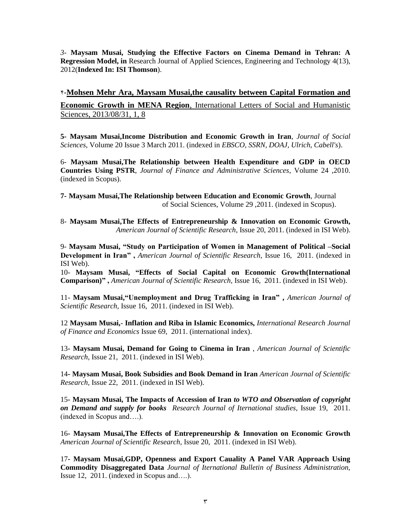*3-* **Maysam Musai, Studying the Effective Factors on Cinema Demand in Tehran: A Regression Model, in** Research Journal of Applied Sciences, Engineering and Technology 4(13), 2012(**Indexed In: [ISI Thomson](http://ip-science.thomsonreuters.com/cgi-bin/jrnlst/jlresults.cgi?PC=MASTER&ISSN=2040-7459)**).

4-**[Mohsen Mehr Ara, Maysam Musai,the causality between Capital Formation and](javascript:void(0))  Economic Growth in MENA Region**[, International Letters of Social and Humanistic](javascript:void(0))  [Sciences, 2013/08/31, 1, 8](javascript:void(0))

**5- Maysam Musai,Income Distribution and Economic Growth in Iran**, *Journal of Social Sciences*, Volume 20 Issue 3 March 2011. (indexed in *EBSCO, SSRN, DOAJ, Ulrich, Cabell's*).

6- **Maysam Musai,The Relationship between Health Expenditure and GDP in OECD Countries Using PSTR**, *Journal of Finance and Administrative Sciences*, Volume 24 ,2010. (indexed in Scopus).

**7- Maysam Musai,The Relationship between Education and Economic Growth**, Journal of Social Sciences, Volume 29 ,2011. (indexed in Scopus).

8- **Maysam Musai,The Effects of Entrepreneurship & Innovation on Economic Growth,**  *American Journal of Scientific Research,* Issue 20, 2011. (indexed in ISI Web).

9- **Maysam Musai, "Study on Participation of Women in Management of Political –Social Development in Iran" ,** *American Journal of Scientific Research,* Issue 16, 2011. (indexed in ISI Web).

10- **Maysam Musai, "Effects of Social Capital on Economic Growth(International Comparison)" ,** *American Journal of Scientific Research,* Issue 16, 2011. (indexed in ISI Web).

11- **Maysam Musai,"Unemployment and Drug Trafficking in Iran" ,** *American Journal of Scientific Research,* Issue 16, 2011. (indexed in ISI Web).

12 **Maysam Musai,**- **Inflation and Riba in Islamic Economics,** *International Research Journal of Finance and Economics* Issue 69, 2011. (international index).

13**- Maysam Musai, Demand for Going to Cinema in Iran** , *American Journal of Scientific Research,* Issue 21, 2011. (indexed in ISI Web).

14**- Maysam Musai, Book Subsidies and Book Demand in Iran** *American Journal of Scientific Research,* Issue 22, 2011. (indexed in ISI Web).

15**- Maysam Musai, The Impacts of Accession of Iran** *to WTO and Observation of copyright on Demand and supply for books Research Journal of Iternational studies,* Issue 19, 2011. (indexed in Scopus and….).

16**- Maysam Musai,The Effects of Entrepreneurship & Innovation on Economic Growth** *American Journal of Scientific Research,* Issue 20, 2011. (indexed in ISI Web).

17**- Maysam Musai,GDP, Openness and Export Cauality A Panel VAR Approach Using Commodity Disaggregated Data** *Journal of Iternational Bulletin of Business Administration,*  Issue 12, 2011. (indexed in Scopus and….).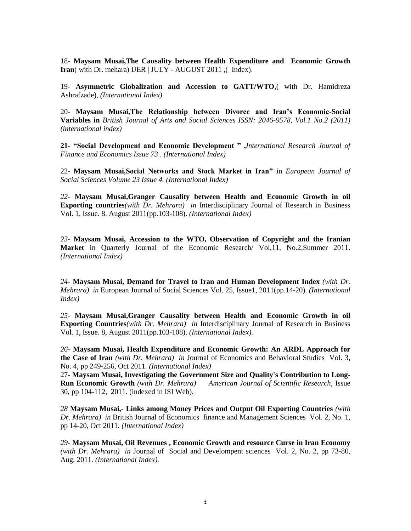18- **Maysam Musai,The Causality between Health Expenditure and Economic Growth Iran**( with Dr. mehara) IJER | JULY - AUGUST 2011 ,( Index).

19- **Asymmetric Globalization and Accession to GATT/WTO**,( with Dr. Hamidreza Ashrafzade), *(International Index)*

20- **Maysam Musai,The Relationship between Divorce and Iran's Economic-Social Variables in** *British Journal of Arts and Social Sciences ISSN: 2046-9578, Vol.1 No.2 (2011) (international index)*

**21- "Social Development and Economic Development " ,***International Research Journal of Finance and Economics Issue 73* . *(International Index)*

22- **Maysam Musai,Social Networks and Stock Market in Iran"** in *European Journal of Social Sciences Volume 23 Issue 4. (International Index)*

*22-* **Maysam Musai,Granger Causality between Health and Economic Growth in oil Exporting countries***(with Dr. Mehrara) in* Interdisciplinary Journal of Research in Business Vol. 1, Issue. 8, August 2011(pp.103-108). *(International Index)*

*23-* **Maysam Musai, Accession to the WTO, Observation of Copyright and the Iranian Market** in Quarterly Journal of the Economic Research/ Vol,11, No.2,Summer 2011. *(International Index)*

*24-* **Maysam Musai, Demand for Travel to Iran and Human Development Index** *(with Dr. Mehrara) in* European Journal of Social Sciences Vol. 25, Issue1, 2011(pp.14-20). *(International Index)*

*25-* **Maysam Musai,Granger Causality between Health and Economic Growth in oil Exporting Countries***(with Dr. Mehrara) in* Interdisciplinary Journal of Research in Business Vol. 1, Issue. 8, August 2011(pp.103-108). *(International Index).*

*26-* **Maysam Musai, Health Expenditure and Economic Growth: An ARDL Approach for the Case of Iran** *(with Dr. Mehrara) in* Journal of Economics and Behavioral Studies Vol. 3, No. 4, pp 249-256, Oct 2011*. (International Index)*

27**- Maysam Musai, Investigating the Government Size and Quality's Contribution to Long-Run Economic Growth** *(with Dr. Mehrara) American Journal of Scientific Research,* Issue 30, pp 104-112, 2011. (indexed in ISI Web).

*28* **Maysam Musai,***-* **Links among Money Prices and Output Oil Exporting Countries** *(with Dr. Mehrara) in* British Journal of Economics finance and Management Sciences Vol. 2, No. 1, pp 14-20, Oct 2011*. (International Index)*

*29-* **Maysam Musai, Oil Revenues , Economic Growth and resource Curse in Iran Economy**  *(with Dr. Mehrara) in* Journal of Social and Develompent sciences Vol. 2, No. 2, pp 73-80, Aug, 2011*. (International Index).*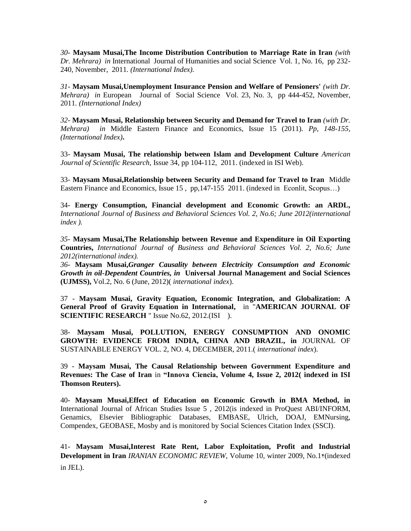*30-* **Maysam Musai,The Income Distribution Contribution to Marriage Rate in Iran** *(with Dr. Mehrara) in* International Journal of Humanities and social Science Vol. 1, No. 16, pp 232- 240, November, 2011*. (International Index).*

*31-* **Maysam Musai,Unemployment Insurance Pension and Welfare of Pensioners'** *(with Dr. Mehrara) in* European Journal of Social Science Vol. 23, No. 3, pp 444-452, November, 2011*. (International Index)*

*32-* **Maysam Musai, Relationship between Security and Demand for Travel to Iran** *(with Dr. Mehrara) in* Middle Eastern Finance and Economics, Issue 15 (2011)*. Pp, 148-155, (International Index)***.**

33- **Maysam Musai, The relationship between Islam and Development Culture** *American Journal of Scientific Research,* Issue 34, pp 104-112, 2011. (indexed in ISI Web).

33- **Maysam Musai,Relationship between Security and Demand for Travel to Iran**Middle Eastern Finance and Economics, Issue 15, pp, 147-155 2011. (indexed in Econlit, Scopus...)

34- **Energy Consumption, Financial development and Economic Growth: an ARDL,**  *International Journal of Business and Behavioral Sciences Vol. 2, No.6; June 2012(international index ).*

*35-* **Maysam Musai,The Relationship between Revenue and Expenditure in Oil Exporting Countries,** *International Journal of Business and Behavioral Sciences Vol. 2, No.6; June 2012(international index).*

*36-* **Maysam Musai,***Granger Causality between Electricity Consumption and Economic Growth in oil-Dependent Countries, in* **Universal Journal Management and Social Sciences (UJMSS),** Vol.2, No. 6 (June, 2012)( *international index*).

37 - **Maysam Musai, Gravity Equation, Economic Integration, and Globalization: A General Proof of Gravity Equation in International,** in "**AMERICAN JOURNAL OF SCIENTIFIC RESEARCH** " Issue No.62, 2012.(ISI ).

38- **Maysam Musai, POLLUTION, ENERGY CONSUMPTION AND ONOMIC GROWTH: EVIDENCE FROM INDIA, CHINA AND BRAZIL, in** JOURNAL OF SUSTAINABLE ENERGY VOL. 2, NO. 4, DECEMBER, 2011.( *international index*).

39 - **Maysam Musai, The Causal Relationship between Government Expenditure and Revenues: The Case of Iran** in **"Innova Ciencia, Volume 4, Issue 2, 2012( indexed in ISI Thomson Reuters).**

40- **Maysam Musai,Effect of Education on Economic Growth in BMA Method, in**  International Journal of African Studies Issue 5 , 2012(is indexed in ProQuest ABI/INFORM, Genamics, Elsevier Bibliographic Databases, EMBASE, Ulrich, DOAJ, EMNursing, Compendex, GEOBASE, Mosby and is monitored by Social Sciences Citation Index (SSCI).

41- **Maysam Musai,Interest Rate Rent, Labor Exploitation, Profit and Industrial Development in Iran** *IRANIAN ECONOMIC REVIEW*, Volume 10, winter 2009, No.14(indexed in JEL).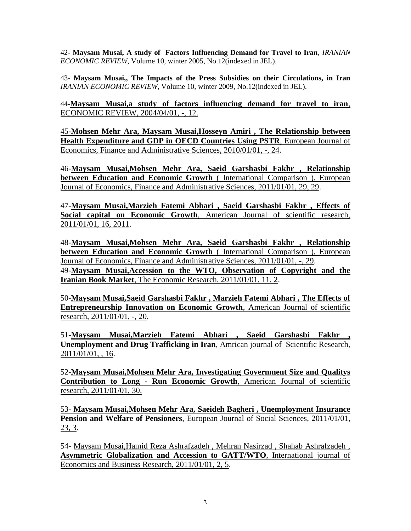42**- Maysam Musai, A study of Factors Influencing Demand for Travel to Iran**, *IRANIAN ECONOMIC REVIEW*, Volume 10, winter 2005, No.12(indexed in JEL).

43- **Maysam Musai,, The Impacts of the Press Subsidies on their Circulations, in Iran** *IRANIAN ECONOMIC REVIEW*, Volume 10, winter 2009, No.12(indexed in JEL).

44-**Maysam Musai,a study of factors influencing demand for travel to iran**, ECONOMIC REVIEW, 2004/04/01, -, 12.

45-**[Mohsen Mehr Ara, Maysam Musai,Hosseyn Amiri , The Relationship between](javascript:void(0))  [Health Expenditure and GDP in OECD Countries Using PSTR](javascript:void(0))**, European Journal of [Economics, Finance and Administrative Sciences, 2010/01/01, -, 24.](javascript:void(0))

46-**[Maysam Musai,Mohsen Mehr Ara, Saeid Garshasbi Fakhr , Relationship](javascript:void(0))  [between Education and Economic Growth](javascript:void(0))** ( International Comparison ), European [Journal of Economics, Finance and Administrative Sciences, 2011/01/01, 29, 29.](javascript:void(0))

47-**[Maysam Musai,Marzieh Fatemi Abhari , Saeid Garshasbi Fakhr , Effects of](javascript:void(0))  Social capital on Economic Growth**[, American Journal of scientific research,](javascript:void(0))  [2011/01/01, 16, 2011.](javascript:void(0))

48-**[Maysam Musai,Mohsen Mehr Ara, Saeid Garshasbi Fakhr , Relationship](javascript:void(0))  [between Education and Economic Growth](javascript:void(0))** ( International Comparison ), European [Journal of Economics, Finance and Administrative Sciences, 2011/01/01, -, 29.](javascript:void(0)) 49-**[Maysam Musai,Accession to the WTO, Observation of Copyright and the](javascript:void(0))  Iranian Book Market**[, The Economic Research, 2011/01/01, 11, 2.](javascript:void(0))

50-**[Maysam Musai,Saeid Garshasbi Fakhr , Marzieh Fatemi Abhari , The Effects of](javascript:void(0))  [Entrepreneurship Innovation on Economic Growth](javascript:void(0))**, American Journal of scientific research, [2011/01/01, -, 20.](javascript:void(0))

51-**[Maysam Musai,Marzieh Fatemi Abhari , Saeid Garshasbi Fakhr ,](javascript:void(0))  [Unemployment and Drug Trafficking in Iran](javascript:void(0))**, Amrican journal of Scientific Research, [2011/01/01, , 16.](javascript:void(0))

52-**Maysam Musai,Mohsen Mehr Ara, Investigating Government Size and Qualitys Contribution to Long - Run Economic Growth**, American Journal of scientific research, 2011/01/01, 30.

53- **[Maysam Musai,Mohsen Mehr Ara, Saeideh Bagheri , Unemployment Insurance](javascript:void(0))  Pension and Welfare of Pensioners**[, European Journal of Social Sciences, 2011/01/01,](javascript:void(0))  [23, 3.](javascript:void(0))

54- [Maysam Musai,Hamid Reza Ashrafzadeh , Mehran Nasirzad , Shahab Ashrafzadeh ,](javascript:void(0))  **[Asymmetric Globalization and Accession to GATT/WTO](javascript:void(0))**, International journal of [Economics and Business Research, 2011/01/01, 2, 5.](javascript:void(0))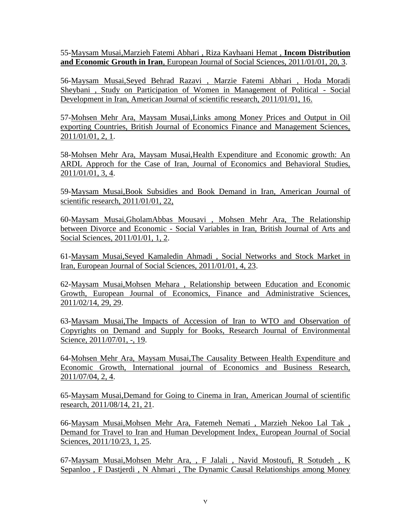55[-Maysam Musai,Marzieh Fatemi Abhari , Riza Kayhaani Hemat ,](javascript:void(0)) **Incom Distribution and Economic Grouth in Iran**[, European Journal of Social Sciences, 2011/01/01, 20, 3.](javascript:void(0))

56-Maysam Musai,Seyed Behrad Razavi , Marzie Fatemi Abhari , Hoda Moradi Sheybani , Study on Participation of Women in Management of Political - Social Development in Iran, American Journal of scientific research, 2011/01/01, 16.

57[-Mohsen Mehr Ara, Maysam Musai,Links among Money Prices and Output in Oil](javascript:void(0))  [exporting Countries, British Journal of Economics Finance and Management Sciences,](javascript:void(0))  [2011/01/01, 2, 1.](javascript:void(0))

58[-Mohsen Mehr Ara, Maysam Musai,Health Expenditure and Economic growth: An](javascript:void(0))  [ARDL Approch for the Case of Iran, Journal of Economics and Behavioral Studies,](javascript:void(0))  [2011/01/01, 3, 4.](javascript:void(0))

59[-Maysam Musai,Book Subsidies and Book Demand in Iran, American Journal of](javascript:void(0))  [scientific research, 2011/01/01, 22,](javascript:void(0))

60[-Maysam Musai,GholamAbbas Mousavi , Mohsen Mehr Ara, The Relationship](javascript:void(0))  between Divorce and Economic - [Social Variables in Iran, British Journal of Arts and](javascript:void(0))  [Social Sciences, 2011/01/01, 1, 2.](javascript:void(0))

61[-Maysam Musai,Seyed Kamaledin Ahmadi , Social Networks and Stock Market in](javascript:void(0))  [Iran, European Journal of Social Sciences, 2011/01/01, 4, 23.](javascript:void(0))

62-Maysam Musai,Mohsen Mehara [, Relationship between Education and Economic](javascript:void(0))  [Growth, European Journal of Economics, Finance and Administrative Sciences,](javascript:void(0))  [2011/02/14, 29, 29.](javascript:void(0))

63[-Maysam Musai,The Impacts of Accession of Iran to WTO and Observation of](javascript:void(0))  [Copyrights on Demand and Supply for Books, Research Journal of Environmental](javascript:void(0))  [Science, 2011/07/01, -, 19.](javascript:void(0))

64[-Mohsen Mehr Ara, Maysam Musai,The Causality Between Health Expenditure and](javascript:void(0))  [Economic Growth, International journal of Economics and Business Research,](javascript:void(0))  [2011/07/04, 2, 4.](javascript:void(0))

65[-Maysam Musai,Demand for Going to Cinema in Iran, American Journal of scientific](javascript:void(0))  [research, 2011/08/14, 21, 21.](javascript:void(0))

66[-Maysam Musai,Mohsen Mehr Ara, Fatemeh Nemati , Marzieh Nekoo Lal Tak ,](javascript:void(0))  [Demand for Travel to Iran and Human Development Index, European Journal of Social](javascript:void(0))  [Sciences, 2011/10/23, 1, 25.](javascript:void(0))

67-Maysam Musai,Mohsen Mehr Ara, , F [Jalali , Navid Mostoufi, R Sotudeh , K](javascript:void(0))  [Sepanloo , F Dastjerdi , N Ahmari , The Dynamic Causal Relationships among Money](javascript:void(0))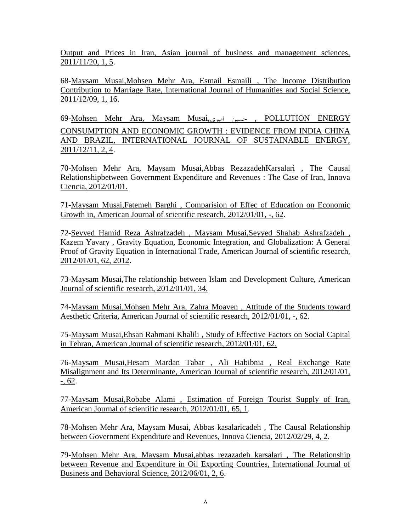[Output and Prices in Iran, Asian journal of business and management sciences,](javascript:void(0))  [2011/11/20, 1, 5.](javascript:void(0))

68[-Maysam Musai,Mohsen Mehr Ara, Esmail Esmaili](javascript:void(0)) , The Income Distribution [Contribution to Marriage Rate, International Journal of Humanities and Social Science,](javascript:void(0))  [2011/12/09, 1, 16.](javascript:void(0))

69[-Mohsen Mehr Ara, Maysam Musai,](javascript:void(0))اميري حسين , POLLUTION ENERGY [CONSUMPTION AND ECONOMIC GROWTH : EVIDENCE FROM INDIA CHINA](javascript:void(0))  [AND BRAZIL, INTERNATIONAL JOURNAL OF SUSTAINABLE ENERGY,](javascript:void(0))  [2011/12/11, 2, 4.](javascript:void(0))

70-Mohsen Mehr Ara, Maysam Musai,Abbas RezazadehKarsalari , The Causal Relationshipbetween Government Expenditure and Revenues : The Case of Iran, Innova Ciencia, 2012/01/01.

71[-Maysam Musai,Fatemeh Barghi , Comparision of Effec of Education on Economic](javascript:void(0))  [Growth in, American Journal of scientific research, 2012/01/01, -,](javascript:void(0)) 62.

72[-Seyyed Hamid Reza Ashrafzadeh , Maysam Musai,Seyyed Shahab Ashrafzadeh ,](javascript:void(0))  [Kazem Yavary , Gravity Equation, Economic Integration, and Globalization: A General](javascript:void(0))  [Proof of Gravity Equation in International Trade, American Journal of scientific research,](javascript:void(0))  [2012/01/01, 62, 2012.](javascript:void(0))

73[-Maysam Musai,The relationship between Islam and Development Culture, American](javascript:void(0))  [Journal of scientific research, 2012/01/01, 34,](javascript:void(0)) 

74[-Maysam Musai,Mohsen Mehr Ara, Zahra Moaven , Attitude of the Students toward](javascript:void(0))  [Aesthetic Criteria, American Journal of scientific research, 2012/01/01, -, 62.](javascript:void(0))

75-Maysam Musai,Ehsan Rahmani Khalili , Study of Effective Factors on Social Capital in Tehran, American Journal of scientific research, 2012/01/01, 62,

76[-Maysam Musai,Hesam Mardan Tabar , Ali Habibnia , Real Exchange Rate](javascript:void(0))  [Misalignment and Its Determinante, American Journal of scientific research, 2012/01/01,](javascript:void(0)) [-, 62.](javascript:void(0))

77[-Maysam Musai,Robabe Alami , Estimation of Foreign Tourist Supply of Iran,](javascript:void(0))  [American Journal of scientific research, 2012/01/01, 65, 1.](javascript:void(0))

78[-Mohsen Mehr Ara, Maysam Musai,](javascript:void(0)) Abbas kasalaricadeh , The Causal Relationship [between Government Expenditure and Revenues, Innova Ciencia, 2012/02/29, 4, 2.](javascript:void(0))

79[-Mohsen Mehr Ara, Maysam Musai,abbas rezazadeh karsalari , The Relationship](javascript:void(0))  [between Revenue and Expenditure in Oil Exporting Countries, International Journal of](javascript:void(0))  [Business and Behavioral Science, 2012/06/01, 2, 6.](javascript:void(0))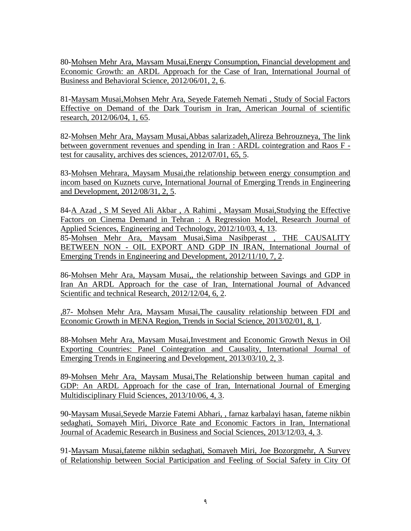80[-Mohsen Mehr Ara, Maysam Musai,Energy Consumption, Financial development and](javascript:void(0))  [Economic Growth: an ARDL Approach for the Case of Iran, International Journal of](javascript:void(0))  [Business and Behavioral Science, 2012/06/01, 2, 6.](javascript:void(0))

81[-Maysam Musai,Mohsen Mehr Ara, Seyede Fatemeh Nemati , Study of Social Factors](javascript:void(0))  [Effective on Demand of the Dark Tourism in Iran, American Journal of scientific](javascript:void(0))  [research, 2012/06/04, 1, 65.](javascript:void(0))

82[-Mohsen Mehr Ara, Maysam Musai,Abbas salarizadeh,Alireza Behrouzneya, The link](javascript:void(0))  [between government revenues and spending in Iran : ARDL cointegration and Raos F](javascript:void(0))  [test for causality, archives des sciences, 2012/07/01, 65, 5.](javascript:void(0))

83[-Mohsen Mehrara, Maysam Musai,the relationship between energy consumption and](javascript:void(0))  [incom based on Kuznets curve, International Journal of Emerging Trends in Engineering](javascript:void(0))  [and Development, 2012/08/31, 2, 5.](javascript:void(0))

84[-A Azad , S M Seyed Ali Akbar , A Rahimi , Maysam Musai,Studying the Effective](javascript:void(0))  [Factors on Cinema Demand in Tehran : A Regression Model, Research Journal of](javascript:void(0))  [Applied Sciences, Engineering and Technology, 2012/10/03, 4, 13.](javascript:void(0)) 85[-Mohsen Mehr Ara, Maysam Musai,Sima Nasibperast](javascript:void(0)) , THE CAUSALITY BETWEEN NON - [OIL EXPORT AND GDP IN IRAN, International Journal of](javascript:void(0))  [Emerging Trends in Engineering and Development, 2012/11/10, 7, 2.](javascript:void(0))

86[-Mohsen Mehr Ara, Maysam Musai,, the relationship between Savings and GDP in](javascript:void(0))  [Iran An ARDL Approach for the case of Iran, International Journal of Advanced](javascript:void(0))  [Scientific and technical Research, 2012/12/04, 6, 2.](javascript:void(0))

,87- [Mohsen Mehr Ara, Maysam Musai,The causality relationship between FDI and](javascript:void(0))  [Economic Growth in MENA Region, Trends in Social Science, 2013/02/01, 8, 1.](javascript:void(0))

88[-Mohsen Mehr Ara, Maysam Musai,Investment and Economic Growth Nexus in Oil](javascript:void(0))  [Exporting Countries: Panel Cointegration and Causality, International Journal of](javascript:void(0))  [Emerging Trends in Engineering and Development, 2013/03/10, 2, 3.](javascript:void(0))

89[-Mohsen Mehr Ara, Maysam Musai,The Relationship between human capital and](javascript:void(0))  [GDP: An ARDL Approach for the case of Iran, International Journal of Emerging](javascript:void(0))  [Multidisciplinary Fluid Sciences, 2013/10/06, 4, 3.](javascript:void(0))

90[-Maysam Musai,Seyede Marzie Fatemi Abhari, , farnaz karbalayi hasan, fateme nikbin](javascript:void(0))  [sedaghati, Somayeh Miri, Divorce Rate and Economic Factors in Iran, International](javascript:void(0))  [Journal of Academic Research in Business and Social Sciences, 2013/12/03, 4, 3.](javascript:void(0))

91[-Maysam Musai,fateme nikbin sedaghati, Somayeh Miri, Joe Bozorgmehr, A Survey](javascript:void(0))  [of Relationship between Social Participation and Feeling of Social Safety in City Of](javascript:void(0))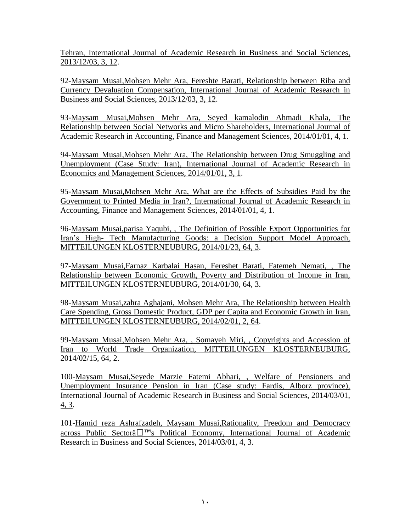[Tehran, International Journal of Academic Research in Business and Social Sciences,](javascript:void(0))  [2013/12/03, 3, 12.](javascript:void(0))

92[-Maysam Musai,Mohsen Mehr Ara, Fereshte Barati, Relationship between Riba and](javascript:void(0))  [Currency Devaluation Compensation, International Journal of Academic Research in](javascript:void(0))  [Business and Social Sciences, 2013/12/03, 3, 12.](javascript:void(0))

93[-Maysam Musai,Mohsen Mehr Ara, Seyed kamalodin Ahmadi Khala, The](javascript:void(0))  [Relationship between Social Networks and Micro Shareholders, International Journal of](javascript:void(0))  [Academic Research in Accounting, Finance and Management Sciences, 2014/01/01, 4, 1.](javascript:void(0))

94[-Maysam Musai,Mohsen Mehr Ara, The Relationship between Drug Smuggling and](javascript:void(0))  [Unemployment \(Case Study: Iran\), International Journal of Academic Research in](javascript:void(0))  [Economics and Management Sciences, 2014/01/01, 3, 1.](javascript:void(0))

95[-Maysam Musai,Mohsen Mehr Ara, What are the Effects of Subsidies Paid by the](javascript:void(0))  [Government to Printed Media in Iran?, International Journal of Academic Research in](javascript:void(0))  [Accounting, Finance and Management Sciences, 2014/01/01, 4, 1.](javascript:void(0))

96[-Maysam Musai,parisa Yaqubi, , The Definition of Possible Export Opportunities for](javascript:void(0))  Iran's High- [Tech Manufacturing Goods: a Decision Support Model Approach,](javascript:void(0))  [MITTEILUNGEN KLOSTERNEUBURG, 2014/01/23, 64, 3.](javascript:void(0))

97[-Maysam Musai,Farnaz Karbalai Hasan, Fereshet Barati, Fatemeh Nemati, , The](javascript:void(0))  [Relationship between Economic Growth, Poverty and Distribution of Income in Iran,](javascript:void(0))  [MITTEILUNGEN KLOSTERNEUBURG, 2014/01/30, 64, 3.](javascript:void(0))

98[-Maysam Musai,zahra Aghajani, Mohsen Mehr Ara, The Relationship between Health](javascript:void(0))  [Care Spending, Gross Domestic Product, GDP per Capita and Economic Growth in Iran,](javascript:void(0))  [MITTEILUNGEN KLOSTERNEUBURG, 2014/02/01, 2, 64.](javascript:void(0))

99[-Maysam Musai,Mohsen Mehr Ara, , Somayeh Miri, , Copyrights and Accession of](javascript:void(0))  [Iran to World Trade Organization, MITTEILUNGEN KLOSTERNEUBURG,](javascript:void(0))  [2014/02/15, 64, 2.](javascript:void(0))

100[-Maysam Musai,Seyede Marzie Fatemi Abhari, , Welfare of Pensioners and](javascript:void(0))  [Unemployment Insurance Pension in Iran \(Case study: Fardis, Alborz province\),](javascript:void(0))  [International Journal of Academic Research in Business and Social Sciences, 2014/03/01,](javascript:void(0))  [4, 3.](javascript:void(0))

101[-Hamid reza Ashrafzadeh, Maysam Musai,Rationality, Freedom and Democracy](javascript:void(0))  across Public Sectorâ™[s Political Economy, International Journal of Academic](javascript:void(0))  [Research in Business and Social Sciences, 2014/03/01, 4, 3.](javascript:void(0))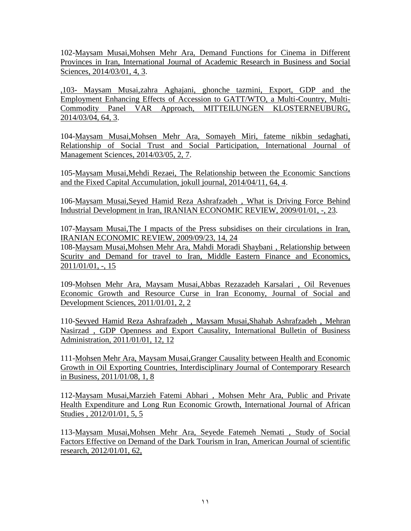102[-Maysam Musai,Mohsen Mehr Ara, Demand Functions for Cinema in Different](javascript:void(0))  [Provinces in Iran, International Journal of Academic Research in Business and Social](javascript:void(0))  [Sciences, 2014/03/01, 4, 3.](javascript:void(0))

,103- Maysam Musai,zahra Aghajani, [ghonche tazmini, Export, GDP and the](javascript:void(0))  [Employment Enhancing Effects of Accession to GATT/WTO, a Multi-Country, Multi-](javascript:void(0))[Commodity Panel VAR Approach, MITTEILUNGEN KLOSTERNEUBURG,](javascript:void(0))  [2014/03/04, 64, 3.](javascript:void(0))

104[-Maysam Musai,Mohsen Mehr Ara, Somayeh Miri, fateme nikbin sedaghati,](javascript:void(0))  [Relationship of Social Trust and Social Participation, International Journal of](javascript:void(0))  [Management Sciences, 2014/03/05, 2, 7.](javascript:void(0))

105[-Maysam Musai,Mehdi Rezaei, The Relationship between the Economic Sanctions](javascript:void(0))  [and the Fixed Capital Accumulation, jokull journal, 2014/04/11, 64, 4.](javascript:void(0))

106[-Maysam Musai,Seyed Hamid Reza Ashrafzadeh , What is Driving Force Behind](javascript:void(0))  [Industrial Development in Iran, IRANIAN ECONOMIC REVIEW, 2009/01/01, -, 23.](javascript:void(0))

107[-Maysam Musai,The I mpacts of the Press subsidises on their circulations in Iran,](javascript:void(0))  [IRANIAN ECONOMIC REVIEW, 2009/09/23, 14, 24](javascript:void(0))

108[-Maysam Musai,Mohsen Mehr Ara, Mahdi Moradi Shaybani , Relationship between](javascript:void(0))  [Scurity and Demand for travel to Iran, Middle Eastern Finance and Economics,](javascript:void(0))  [2011/01/01, -, 15](javascript:void(0))

109[-Mohsen Mehr Ara, Maysam Musai,Abbas Rezazadeh Karsalari , Oil Revenues](javascript:void(0))  [Economic Growth and Resource Curse in Iran Economy, Journal of Social and](javascript:void(0))  [Development Sciences, 2011/01/01, 2, 2](javascript:void(0))

110[-Seyyed Hamid Reza Ashrafzadeh , Maysam Musai,Shahab Ashrafzadeh , Mehran](javascript:void(0))  Nasirzad , GDP Openness and [Export Causality, International Bulletin of Business](javascript:void(0))  [Administration, 2011/01/01, 12, 12](javascript:void(0))

111[-Mohsen Mehr Ara, Maysam Musai,Granger Causality between Health and Economic](javascript:void(0))  [Growth in Oil Exporting Countries, Interdisciplinary Journal of Contemporary Research](javascript:void(0))  [in Business, 2011/01/08, 1, 8](javascript:void(0))

112[-Maysam Musai,Marzieh Fatemi Abhari , Mohsen Mehr Ara, Public and Private](javascript:void(0))  [Health Expenditure and Long Run Economic Growth, International Journal of African](javascript:void(0))  [Studies , 2012/01/01, 5, 5](javascript:void(0))

113[-Maysam Musai,Mohsen Mehr Ara, Seyede Fatemeh Nemati , Study of Social](javascript:void(0))  [Factors Effective on Demand of the Dark Tourism in Iran, American Journal of scientific](javascript:void(0))  [research, 2012/01/01, 62,](javascript:void(0))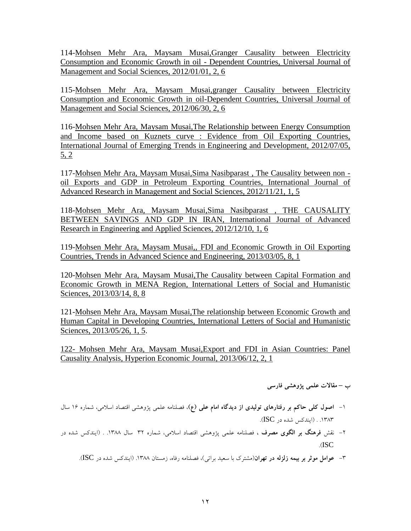114[-Mohsen Mehr Ara, Maysam Musai,Granger Causality between Electricity](javascript:void(0))  [Consumption and Economic Growth in oil -](javascript:void(0)) Dependent Countries, Universal Journal of [Management and Social Sciences, 2012/01/01, 2, 6](javascript:void(0))

115[-Mohsen Mehr Ara, Maysam Musai,granger Causality between Electricity](javascript:void(0))  [Consumption and Economic Growth in oil-Dependent Countries, Universal Journal of](javascript:void(0))  [Management and Social Sciences, 2012/06/30, 2, 6](javascript:void(0))

116[-Mohsen Mehr Ara, Maysam Musai,The Relationship between Energy Consumption](javascript:void(0))  [and Income based on Kuznets curve : Evidence from Oil Exporting Countries,](javascript:void(0))  [International Journal of Emerging Trends in Engineering and Development, 2012/07/05,](javascript:void(0))  [5, 2](javascript:void(0))

117[-Mohsen Mehr Ara, Maysam Musai,Sima Nasibparast , The Causality between non](javascript:void(0))  [oil Exports and GDP in Petroleum Exporting Countries, International Journal of](javascript:void(0))  [Advanced Research in Management and Social Sciences, 2012/11/21, 1, 5](javascript:void(0))

118[-Mohsen Mehr Ara, Maysam Musai,Sima Nasibparast , THE CAUSALITY](javascript:void(0))  [BETWEEN SAVINGS AND GDP IN IRAN, International Journal of Advanced](javascript:void(0))  Research in [Engineering and Applied Sciences, 2012/12/10, 1, 6](javascript:void(0))

119[-Mohsen Mehr Ara, Maysam Musai,, FDI and Economic Growth in Oil Exporting](javascript:void(0))  [Countries, Trends in Advanced Science and Engineering, 2013/03/05, 8, 1](javascript:void(0))

120[-Mohsen Mehr Ara, Maysam Musai,The Causality between Capital Formation and](javascript:void(0))  [Economic Growth in MENA Region, International Letters of Social and Humanistic](javascript:void(0))  [Sciences, 2013/03/14, 8, 8](javascript:void(0))

121[-Mohsen Mehr Ara, Maysam Musai,The relationship between Economic Growth and](javascript:void(0))  [Human Capital in Developing Countries, International Letters of Social and Humanistic](javascript:void(0))  [Sciences, 2013/05/26, 1, 5.](javascript:void(0))

122- [Mohsen Mehr Ara, Maysam Musai,Export and FDI in Asian Countries: Panel](javascript:void(0))  [Causality Analysis, Hyperion Economic Journal, 2013/06/12, 2, 1](javascript:void(0))

**ب – مقاالت علمي پژوهشي فارسي**

- -1 **اصول كلي حاكم بر رفتارهاي توليدي از ديدگاه امام علي )ع(**، فصلنامه علمي پژوهشي اقتصاد اسالمي، شماره 16 سال .1383 . )ايندكس شده در ISC).
- -2 نقش **فرهنگ بر الگوي مصرف ،** فصلنامه علمي پژوهشي اقتصاد اسالمي، شماره 32 سال .1388 . )ايندكس شده در .)ISC

-3 **عوامل موثر بر بيمه زلزله در تهران**)مشترك با سعيد براتي(، فصلنامه رفاه، زمستان .1388 )ايندكس شده در ISC).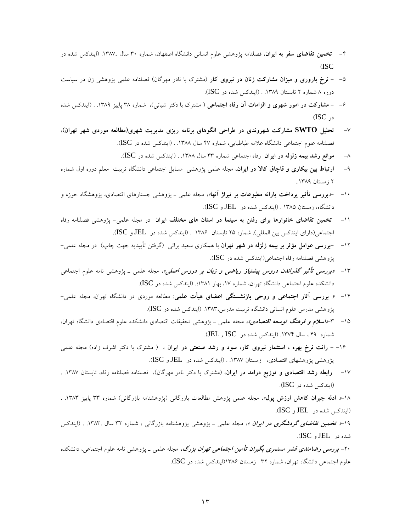- -4 **تخمين تقاضاي سفر به ايران**، فصلنامه پژوهشي علوم انساني دانشگاه اصفهان، شماره 30 سال .1387. )ايندكس شده در )ISC
- -5 **نرخ باروري و ميزان مشاركت زنان در نيروي كار** )مشترك با نادر مهرگان( فصلنامه علمي پژوهشي زن در سياست دوره ۸ شماره ۲ تابستان ۱۳۸۹. . (ایندكس شده در ISC).
- -6 **مشاركت در امور شهري و الزامات آن رفاه اجتماعي** ) مشترك با دكتر شياني(، شماره 38 پاييز .1389 . )ايندكس شده در ISC)
- -7 **تحليل SWTO مشاركت شهروندي در طراحي الگوهاي برنامه ريزي مديريت شهري)مطالعه موردي شهر تهران(**، فصلنامه علوم اجتماعي دانشگاه علامه طباطبايي، شماره ۴۷ سال ۱۳۸۸. . (ايندكس شده در ISC).
	- -8 **موانع رشد بيمه زلزله در ايران** رفاه اجتماعي شماره 33 سال .1388 . )ايندكس شده در ISC).
- -9 **ارتباط بين بيكاري و قاچاق كاال در ايران**، مجله علمي پژوهشي مسايل اجتماعي دانشگاه تربيت معلم دوره اول شماره ٢ زمستان ١٣٨٩..
- -10 -**»بررسي تأثير پرداخت يارانه مطبوعات بر تيراژ آنها«،** مجله علمي ـ پژوهشي جستارهاي اقتصادي، پژوهشگاه حوزه و دانشگاه، زمستان 1385 . )ايندكس شده در JEL و ISC).
- -11 **تخمين تقاضاي خانوارها براي رفتن به سينما در استان هاي مختلف ايران** در مجله علمي- پژوهشي فصلنامه رفاه اجتماعي)داراي ايندكس بين المللي(. شماره 25 تابستان 1386 . )ايندكس شده در JEL و ISC).
- -12 -**بررسي عوامل مؤثر بر بيمه زلزله در شهر تهران** با همكاري سعيد براتي )گرفتن تأييديه جهت چاپ( در مجله علمي- پژوهشي فصلنامه رفاه اجتماعي)ايندكس شده در ISC).
- -13 **»بررسي تأثير گذراندن دروس پيشنياز رياضي و زبان بر دروس اصلي«**، مجله علمي ـ پژوهشي نامه علوم اجتماعي دانشكده علوم اجتماعي دانشگاه تهران، شماره ۱۷، بهار ۱۳۸۱؛. (ايندكس شده در ISC).
- -14 **» بررسي آثار اجتماعي و روحي بازنشستگي اعضاي هيأت علمي**: مطالعه موردي در دانشگاه تهران، مجله علمي- پژوهشي مدرس علوم انساني دانشگاه تربيت مدرس.1383، )ايندكس شده در ISC).
- -15 -3**»اسالم و فرهنگ توسعه اقتصادي«،** مجله علمي ـ پژوهشي تحقيقات اقتصادي دانشكده علوم اقتصادي دانشگاه تهران، شماره 49 ، سال .1374 )ايندكس شده در ISC , JEL).
- -16 **رانت نرخ بهره ، استثمار نيروي كار، سود و رشد صنعتي در ايران** ، ) مشترك با دكتر اشرف زاده( مجله علمي پژوهشي پژوهشهاي اقتصادي، زمستان ۱۳۸۷. . (ايندكس شده در JEL و ISC).
- ۱۷– **رابطه رشد اقتصادي و توزيع درامد در ايران**، (مشترك با دكتر نادر مهرگان). فصلنامه فصلنامه رفاه، تابستان ۱۳۸۷. . )ايندكس شده در ISC).

-18**» ادله جبران كاهش ارزش پول«**، مجله علمي پژوهش مطالعات بازرگاني )پژوهشنامه بازرگاني( شماره 33 پاييز .1383 . )ايندكس شده در JEL و ISC).

-19**» تخمين تقاضاي گردشگري در ايران «**، مجله علمي ـ پژوهشي پژوهشنامه بازرگاني ، شماره 32 سال .1383. . )ايندكس شده در JEL و ISC).

-20 **بررسي رضامندي قشر مستمري بگيران تأمين اجتماعي تهران بزرگ،** مجله علمي ـ پژوهشي نامه علوم اجتماعي، دانشكده علوم اجتماعي دانشگاه تهران، شماره 32 زمستان 1386)ايندكس شده در ISC).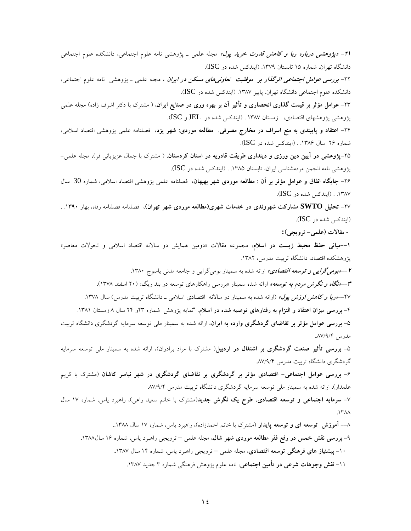**-21 »پژوهشي درباره ربا و كاهش قدرت خريد پول«** مجله علمي ـ پژوهشي نامه علوم اجتماعي، دانشكده علوم اجتماعي دانشگاه تهران، شماره ۱۵ تابستان ۱۳۷۹. (ایندكس شده در ISC).

-22 **بررسي عوامل اجتماعي اثرگذار بر موفقيت تعاونيهاي مسكن در ايران** ، مجله علمي ـ پژوهشي نامه علوم اجتماعي، دانشكده علوم اجتماعي دانشگاه تهران. پاييز ۱۳۸۷. (ايندكس شده در ISC).

**-**23 **عوامل مؤثر بر قيمت گذاري انحصاري و تأثير آن بر بهره وري در صنايع ايران**، ) مشترك با دكتر اشرف زاده( مجله علمي پژوهشي پژوهشهاي اقتصادي، زمستان 1387 . )ايندكس شده در JEL و ISC).

-24 **اعتقاد و پايبندي به منع اسراف در مخارج مصرفي. مطالعه موردي: شهر يزد**، فصلنامه علمي پژوهشي اقتصاد اسالمي، شماره ٢۶ سال ١٣٨۶. . (ايندكس شده در ISC).

-25**پژوهشي در آيين دين ورزي و دينداري طريقت قادريه در استان كردستان**، ) مشترك با جمال عزيزياني فر(، مجله علمي- پژوهشي نامه انجمن مردمشناسي ايران، تابستان ۱۳۸۵. . (ايندكس شده در ISC).

-26 **جايگاه انفاق و عوامل مؤثر بر آن : مطالعه موردي شهر بهبهان،** فصلنامه علمي پژوهشي اقتصاد اسالمي، شماره 30 سال .1387 . )ايندكس شده در ISC).

-27 **تحليل SWTO مشاركت شهروندي در خدمات شهري)مطالعه موردي شهر تهران(**، فصلنامه فصلنامه رفاه، بهار .1390 . )ايندكس شده در ISC).

**- مقاالت )علمي- ترويجي(:**

**--1مباني حفظ محيط زيست در اسالم**، مجموعه مقاالت »دومين همايش دو ساالنه اقتصاد اسالمي و تحوالت معاصر« پژوهشكده اقتصاد، دانشگاه تربيت مدرس، .1382

**--2»بوميگرايي و توسعه اقتصادي«** ارائه شده به سمينار بوميگرايي و جامعه مدني ياسوج .1380 **--3»نگاه و نگرش مردم به توسعه«** ارائه شده سمينار »بررسي راهكارهاي توسعه در بند ريگ« )20 اسفند 1378(. **-**-47**»ربا و كاهش ارزش پول«** )ارائه شده به سمينار دو ساالنه اقتصادي اسالمي ـ دانشگاه تربيت مدرس( سال .1378 -4 **بررسي ميزان اعتقاد و التزام به رفتارهاي توصيه شده در اسالم**. "نمايه پژوهش شماره 23و 24 سال 8 زمستان .1381 -5 **بررسي عوامل مؤثر بر تقاضاي گردشگري وارده به ايران**، ارائه شده به سمينار ملي توسعه سرمايه گردشگري دانشگاه تربيت

مدرس ..87/9/4

-5 **بررسي تأثير صنعت گردشگري بر اشتغال در اردبيل**) مشترك با مراد برادران(، ارائه شده به سمينار ملي توسعه سرمايه گردشگري دانشگاه تربيت مدرس ٨٧/٩/۴..

-6 **بررسي عوامل اجتماعي- اقتصادي مؤثر بر گردشگري بر تقاضاي گردشگري در شهر نياسر كاشان** )مشترك با كريم علمدار)، ارائه شده به سمينار ملي توسعه سرمايه گردشگري دانشگاه تربيت مدرس ٨٧/٩/۴

-7 **سرمايه اجتماعي و توسعه اقتصادي، طرح يك نگرش جديد**)مشترك با خانم سعيد راعي(، راهبرد ياس، شماره 17 سال  $.14A$ 

--8 **آموزش توسعه اي و توسعه پايدار** )مشترك با خانم احمدزاده(، راهبرد ياس، شماره 17 سال ..1388 -9 **بررسي نقش خمس در رفع فقر مطالعه موردي شهر شال**، مجله علمي – ترويجي راهبرد ياس، شماره 16 سال.1388 -10 **پيشنياز هاي فرهنگي توسعه اقتصادي**، مجله علمي – ترويجي راهبرد ياس، شماره 14 سال ..1387 -11 **نقش وجوهات شرعي در تأمين اجتماعي**، نامه علوم پژوهش فرهنگي شماره 3 جديد .1387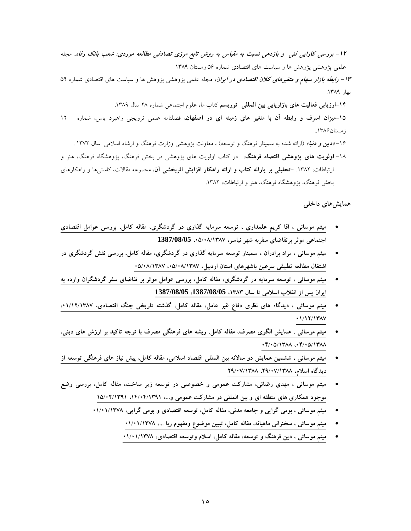**-12 بررسي كارايي فني و بازدهي نسبت به مقياس به روش تابع مرزي تصادفي مطالعه موردي: شعب بانك رفاه،** مجله علمي پژوهشي پژوهش ها و سياست هاي اقتصادي شماره 56 زمستان 1389

**-13 رابطه بازار سهام و متغيرهاي كالن اقتصادي در ايران،** مجله علمي پژوهشي پژوهش ها و سياست هاي اقتصادي شماره 54 بهار ١٣٨٩.

**-14ارزيابي فعاليت هاي بازاريابي بين المللي توريسم** كتاب ماه علوم اجتماعي شماره 28 سال .1389 **-15ميزان اسرف و رابطه آن با متغير هاي زمينه اي در اصفهان،** فصلنامه علمي ترويجي راهبرد ياس، شماره 12 زمستان ۱۳۸۶.. -16 **»دين و دنيا«** )ارائه شده به سمينار فرهنگ و توسعه( ، معاونت پژوهشي وزارت فرهنگ و ارشاد اسالمي سال 1372 .

-18 **اولويت هاي پژوهشي اقتصاد فرهنگ**، در كتاب اولويت هاي پژوهشي در بخش فرهنگ، پژوهشگاه فرهنگ، هنر و ارتباطات، .1382 **-تحليلي بر يارانه كتاب و ارائه راهكار افزايش اثربخشي آن**، مجموعه مقاالت، كاستيها و راهكارهاي بخش فرهنگ، پژوهشگاه فرهنگ، هنر و ارتباطات، ۱۳۸۲.

**همايشهاي داخلي**

- **[ميثم موسائي ، اقا كريم علمداري ، توسعه سرمايه گذاري در گردشگري، مقاله كامل، بررسي عوامل اقتصادي](javascript:void(0))  [اجتماعي موثر برتقاضاي سفربه شهر نياسر، ،05/08/1387](javascript:void(0)) 1387/08/05**
- **ميثم موسائي ، مراد برادران ، [سمينار توسعه سرمايه گذاري در گردشگري، مقاله كامل، بررسي نقش گردشگري در](javascript:void(0))  [اشتغال مطالعه تطبيقي سرعين باشهرهاي استان اردبيل، ،05/08/1387 05/08/1387](javascript:void(0))**
- **[ميثم موسائي ، توسعه سرمايه در گردشگري، مقاله كامل، بررسي عوامل موثر بر تقاضاي سفر گردشگران وارده به](javascript:void(0))  [ايران پس از انقالب اسالمي تا سال ،1383 ،](javascript:void(0))1387/08/05 1387/08/05**
- **[ميثم موسائي ، ديدگاه هاي نظري دفاع غير عامل، مقاله كامل، گذشته تاريخي جنگ اقتصادي، ،01/12/1387](javascript:void(0))  [01/12/1387](javascript:void(0))**
- **[ميثم موسائي ، همايش الگوي مصرف، مقاله كامل، ريشه هاي فرهنگي مصرف با توجه تاكيد بر ارزش هاي ديني،](javascript:void(0))  [04/05/1388 ،04/05/1388](javascript:void(0))**
- **[ميثم موسائي ، ششمين همايش دو ساالنه بين المللي اقتصاد اسالمي، مقاله كامل، پيش نياز هاي فرهنگي توسعه از](javascript:void(0))  [ديدگاه اسالم، ،29/07/1388 29/07/1388](javascript:void(0))**
- **[ميثم موسائي ، مهدي رضائي، مشاركت عمومي و خصوصي در توسعه زير ساخت، مقاله كامل، بررسي وضع](javascript:void(0))  [موجود همكاري هاي منطقه اي و بين المللي در مشاركت عمومي و،... ،14/04/1391 15/04/1391](javascript:void(0))**
	- **[ميثم موسائي ، بومي گرايي و جامعه مدني، مقاله كامل، توسعه اقتصادي و بومي گرايي، 01/01/1378](javascript:void(0))**
		- **[ميثم موسائي ، سخنراني ماهيانه، مقاله كامل، تبيين موضوع ومفهوم ربا ،... 01/01/1378](javascript:void(0))**
		- **[ميثم موسائي ، دين فرهنگ و توسعه، مقاله كامل، اسالم وتوسعه اقتصادي، 01/01/1378](javascript:void(0))**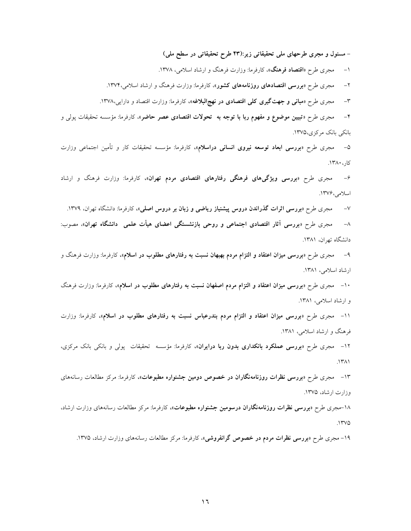**- مسئول و مجري طرحهاي ملي تحقيقاتي زير:)43 طرح تحقيقاتي در سطح ملي(**

-1 مجري طرح **»اقتصاد فرهنگ«**، كارفرما: وزارت فرهنگ و ارشاد اسالمي، .1378

-2 مجري طرح **»بررسي اقتصادهاي روزنامههاي كشور«**، كارفرما: وزارت فرهنگ و ارشاد اسالمي.1374،

-3 مجري طرح **»مباني و جهتگيري كلي اقتصادي در نهجالبالغه«،** كارفرما: وزارت اقتصاد و دارايي.1378،

-4 مجري طرح **»تبيين موضوع و مفهوم ربا با توجه به تحوالت اقتصادي عصر حاضر«**، كارفرما: مؤسسه تحقيقات پولي و بانكي بانك مركزي.1375،

-5 مجري طرح **»بررسي ابعاد توسعه نيروي انساني دراسالم«،** كارفرما: مؤسسه تحقيقات كار و تأمين اجتماعي وزارت كار، ۱۳۸۰.

-6 مجري طرح **»بررسي ويژگيهاي فرهنگي رفتارهاي اقتصادي مردم تهران«،** كارفرما: وزارت فرهنگ و ارشاد اسالمي.1376،

-7 مجري طرح **»بررسي اثرات گذراندن دروس پيشنياز رياضي و زبان بر دروس اصلي«،** كارفرما: دانشگاه تهران، .1379 -8 مجري طرح **»بررسي آثار اقتصادي اجتماعي و روحي بازنشستگي اعضاي هيأت علمي دانشگاه تهران«**، مصوب: دانشگاه تهران، ۱۳۸۱.

-9 مجري طرح **»بررسي ميزان اعتقاد و التزام مردم بهبهان نسبت به رفتارهاي مطلوب در اسالم«،** كارفرما: وزارت فرهنگ و ارشاد اسلامي، ١٣٨١.

-10 مجري طرح **»بررسي ميزان اعتقاد و التزام مردم اصفهان نسبت به رفتارهاي مطلوب در اسالم«،** كارفرما: وزارت فرهنگ و ارشاد اسلامي، ۱۳۸۱.

-11 مجري طرح **»بررسي ميزان اعتقاد و التزام مردم بندرعباس نسبت به رفتارهاي مطلوب در اسالم«،** كارفرما: وزارت فرهنگ و ارشاد اسلامی، ۱۳۸۱.

-12 مجري طرح **»بررسي عملكرد بانكداري بدون ربا درايران«،** كارفرما: مؤسسه تحقيقات پولي و بانكي بانك مركزي،  $.1411$ 

-13 مجري طرح **»بررسي نظرات روزنامهنگاران در خصوص دومين جشنواره مطبوعات«،** كارفرما: مركز مطالعات رسانههاي وزارت ارشاد، .1375

-18مجري طرح **»بررسي نظرات روزنامهنگاران درسومين جشنواره مطبوعات«،** كارفرما: مركز مطالعات رسانههاي وزارت ارشاد،  $.17\%$ 

-19 مجري طرح **»بررسي نظرات مردم در خصوص گرانفروشي«**، كارفرما: مركز مطالعات رسانههاي وزارت ارشاد، .1375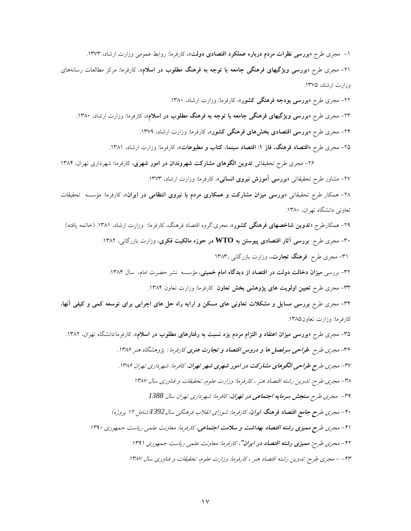-1 مجري طرح **»بررسي نظرات مردم درباره عملكرد اقتصادي دولت«،** كارفرما: روابط عمومي وزارت ارشاد، .1373 -21 مجري طرح **»بررسي ويژگيهاي فرهنگي جامعه با توجه به فرهنگ مطلوب در اسالم«**، كارفرما: مركز مطالعات رسانههاي وزارت ارشاد، .1375

-22 مجري طرح **»بررسي بودجه فرهنگي كشور«**، كارفرما: وزارت ارشاد، .1380 -23 مجري طرح **»بررسي ويژگيهاي فرهنگي جامعه با توجه به فرهنگ مطلوب در اسالم«،** كارفرما: وزارت ارشاد، .1380 -24 مجري طرح **»بررسي اقتصادي بخشهاي فرهنگي كشور«،** كارفرما: وزارت ارشاد، .1379 -25 مجري طرح **»اقتصاد فرهنگ، فاز :1 اقتصاد سينما، كتاب و مطبوعات«،** كارفرما: وزارت ارشاد، .1381

-26 مجري طرح تحقيقاتي **تدوين الگوهاي مشاركت شهروندان در امور شهري**، كارفرما: شهرداري تهران، 1384 -27 مشاور طرح تحقيقاتي **»بررسي آموزش نيروي انساني«**، كارفرما: وزارت ارشاد، .1373 -28 همكار طرح تحقيقاتي **»بررسي ميزان مشاركت و همكاري مردم با نيروي انتظامي در ايران«**، كارفرما: مؤسسه تحقيقات تعاوني دانشگاه تهران، .1380 -29 همكارطرح **»تدوين شاخصهاي فرهنگي كشور«**، مجري:گروه اقتصاد فرهنگ، كارفرما: وزارت ارشاد، .1381 )خاتمه يافته( -30 مجري طرح **بررسي آثار اقتصادي پيوستن به WTO در حوزه مالكيت فكري**، وزارت بازرگاني، .1382 -31 مجري طرح **فرهنگ تجارت**،، وزارت بازرگاني 1383، ٣٢- بررسي **ميزان دخالت دولت در اقتصاد از ديدگاه امام خمين**ي، مؤسسه نشر حضرت امام، سال ١٣٨۴. -33 مجري طرح **تعيين اولويت هاي پژوهشي بخش تعاون** كارفرما: وزارت تعاون .1384 -34 مجري طرح **بررسي مسايل و مشكالت تعاوني هاي مسكن و ارايه راه حل هاي اجرايي براي توسعه كمي و كيفي آنها**، كارفرما: وزارت تعاون١٣٨٥.

-35 مجري طرح **»بررسي ميزان اعتقاد و التزام مردم يزد نسبت به رفتارهاي مطلوب در اسالم«**، كارفرما:دانشگاه تهران، .1382 -36 مجري طرح **طراحي سرفصل ها و دروس اقتصاد و تجارت هنري** كارفرما : پژوهشگاه هنر .1386 -37 مجري طر**ح طراحي الگوهاي مشاركت در امور شهري شهر تهران**، كافرما: شهرداري تهران .1386 -38 مجري طرح: تدوين رشته اقتصاد هنر ، كارفرما: وزارت علوم، تخقيقات و فناوري سال 1387 -39 مجري طرح **سنجش سرمايه اجتماعي در تهران**، كافرما: شهرداري تهران سال *1388* -40 مجري طر**<sup>ح</sup> جامع اقتصاد فرهنگ ايران**، كارفرما: شوراي انقالب فرهنگي سال*1392*)شامل 12 پروژه( -41 مجري طر**ح مميزي رشته اقتصاد بهداشت و سالمت اجتماعي**، كارفرما: معاونت علمي رياست جمهوري <sup>1390</sup> -42 مجري طرح**: مميزي رشته اقتصاد در ايران**"، كارفرما: معاونت علمي رياست جمهوري 1391 -43 - مجري طرح: تدوين رشته اقتصاد هنر ، كارفرما: وزارت علوم، تخقيقات و فناوري سال 1387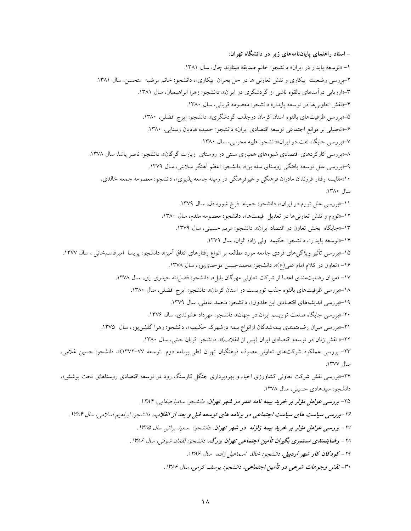**- استاد راهنماي پاياننامههاي زير در دانشگاه تهران: -1** »توسعه پايدار در ايران« دانشجو: خانم صديقه ميناوند چال، سال .1381 -2بررسي وضعيت بيكاري و نقش تعاوني ها در حل بحران بيكاري«، دانشجو: خانم مرضيه متحسن، سال .1381 -3»ارزيابي درآمدهاي بالقوه ناشي از گردشگري در ايران«، دانشجو: زهرا ابراهيميان، سال .1381 -4»نقش تعاونيها در توسعه پايدار« دانشجو: معصومه قرباني، سال .1380 -5»بررسي ظرفيتهاي بالقوه استان كرمان درجذب گردشگري«، دانشجو: ايرج افضلي، .1380 -6»تحليلي بر موانع اجتماعي توسعه اقتصادي ايران« دانشجو: حميده هاديان رسنايي، .1380 -7»بررسي جايگاه نفت در ايران«دانشجو: طيبه محرابي، سال .1380 -8»بررسي كاركردهاي اقتصادي شيوههاي همياري سنتي در روستاي زيارت گرگان«، دانشجو: ناصر پاشا، سال .1378 -9»بررسي علل توسعه يافتگي روستاي سله بن«، دانشجو: اعظم آهنگر سالبني، سال .1379 10»مقايسه رفتار فرزندان مادران فرهنگي و غيرفرهنگي در زمينه جامعه پذيري«، دانشجو: معصومه جمعه خالدي, سال .1380 -11»بررسي علل تورم در ايران«، دانشجو: جميله فرخ شوره دل، سال .1379 -12»تورم و نقش تعاونيها در تعديل قيمتها«، دانشجو: معصومه مقدم، سال .1380 -13»جايگاه بخش تعاون در اقتصاد ايران«، دانشجو: مريم حسيني، سال .1379 -14»توسعه پايدار«، دانشجو: حكيمه ولي زاده الوان، سال .1379 -15»بررسي تأثير ويژگيهاي فردي جامعه مورد مطالعه بر انواع رفتارهاي انفاق آميز«، دانشجو: پريسا اميرقاسمخاني ، سال .1377 -16 »تعاون در كالم امام علي)ع(«، دانشجو: محمدحسين موحديپور، سال .1378 -17 »ميزان رضايتمندي اعضا از شركت تعاوني مهرگان بابل«، دانشجو: فضلاهلل حيدري ري، سال .1378 -18»بررسي ظرفيتهاي بالقوه جذب توريست در استان كرمان«، دانشجو: ايرج افضلي، سال .1380 -19»بررسي انديشههاي اقتصادي ابنخلدون«، دانشجو: محمد عاملي، سال .1379 -20»بررسي جايگاه صنعت توريسم ايران در جهان«، دانشجو: مهرداد عشوندي، سال .1376 -21»بررسي ميزان رضايتمندي بيمهشدگان ازانواع بيمه درشهرك حكيميه«، دانشجو: زهرا گلشنپور، سال .1375 -22» نقش زنان در توسعه اقتصادي ايران )پس از انقالب(«، دانشجو: قربان جنتي، سال .1380 -23 بررسي عملكرد شركتهاي تعاوني مصرف فرهنگيان تهران )طي برنامه دوم توسعه 1372-77(«، دانشجو: حسين غالمي، سال .1377 -24»بررسي نقش شركت تعاوني كشاورزي احياء و بهرهبرداري جنگل كارسنگ رود در توسعه اقتصادي روستاهاي تحت پوشش«، دانشجو: سيدهادي حسيني، سال .1378 ۲۵- بررسي ع*وامل مؤثر بر خريد بيمه نامه عمر در شهر تهران، دانشجو: ساميا صفايي، ۱۳۸۴.* -26**بررسي سياست هاي سياست اجتماعي در برنامه هاي توسعه قبل و بعد از انقالب،** دانشجو: ابراهيم اسالمي، سال .1384 -27 **بررسي عوامل مؤثر بر خريد بيمه زلزله در شهر تهران،** دانشجو: سعيد براتي سال .1385 -28 **رضايتمندي مستمري بگيران تأمين اجتماعي تهران بزرگ،** دانشجو: لقمان شوقي، سال .1386 -29 **كودكان كار شهر اردبيل**. دانشجو: خالد اسماعيل زاده، سال .1386 -30 **نقش وجوهات شرعي در تأمين اجتماعي،** دانشجو: يوسف كرمي، سال .1386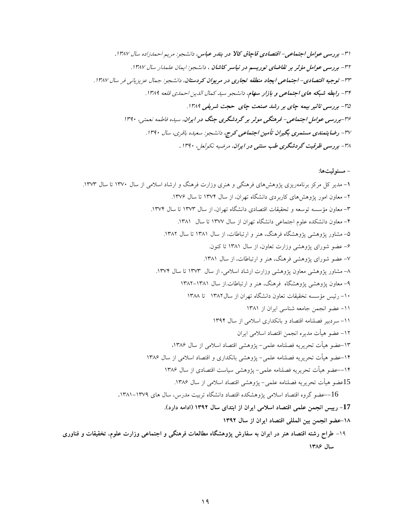-31 **بررسي عوامل اجتماعي- اقتصادي قاچاق كاال در بندر عباس**، دانشجو: مريم احمدزاده سال **.**<sup>1387</sup> **-**<sup>32</sup> **بررسي عوامل مؤثر بر تقاضاي توريسم در نياسر كاشان** ، دانشجو: ايمان علمدار سال .1387 -33 **توجيه اقتصادي- اجتماعي ايجاد منطقه تجاري در مريوان كردستان**، دانشجو: جمال عزيزياني فر سال .1387 -34 **رابطه شبكه هاي اجتماعي و بازار سهام**، دانشجو سيد كمال الدين احمدي قلعه .1389 **-**<sup>35</sup> **بررسي تاثير بيمه چاي بر رشد صنعت چاي حجت شريفي** .1389 **-**<sup>36</sup>**بررسي عوامل اجتماعي- فرهنگي موثر بر گردشگري جنگ در ايران**، سيده فاطمه نعمتي، 1390 -37 **رضايتمندي مستمري بگيران تأمين اجتماعي كرج،** دانشجو: سعيده باقري، سال .1390 -38 **بررسي ظرقيت گردشگري طب سنتي در ايران**، مرضيه نكولعل، *.*<sup>1390</sup>

**- مسئوليتها:**

**-1** مدير كل مركز برنامهريزي پژوهشهاي فرهنگي و هنري وزارت فرهنگ و ارشاد اسالمي از سال 1370 تا سال .1373 -2 معاون امور پژوهشهاي كاربردي دانشگاه تهران، از سال 1374 تا سال .1376 -3 معاون مؤسسه توسعه و تحقيقات اقتصادي دانشگاه تهران، از سال 1373 تا سال .1374 -4 معاون دانشكده علوم اجتماعي دانشگاه تهران از سال 1377 تا سال .1381 -5 مشاور پژوهشي پژوهشگاه فرهنگ، هنر و ارتباطات، از سال 1381 تا سال .1382 -6 عضو شوراي پژوهشي وزارت تعاون، از سال 1381 تا كنون. -7 عضو شوراي پژوهشي فرهنگ، هنر و ارتباطات، از سال .1381 -8 مشاور پژوهشي معاون پژوهشي وزارت ارشاد اسالمي، از سال 1373 تا سال .1374 -9 معاون پژوهشي پژوهشگاه فرهنگ، هنر و ارتباطات.از سال 1382-1381 -10 رئيس مؤسسه تخقيقات تعاون دانشگاه تهران از سال1382 تا 1388 -11 عضو انجمن جامعه شناسي ايران از 1381 -11 سردبير فصلنامه اقتصاد و بانكداري اسالمي از سال 1394 -12 عضو هيأت مديره انجمن اقتصاد اسالمي ايران -13عضو هيأت تحريريه فصلنامه علمي- پژوهشي اقتصاد اسالمي از سال ،1386 -14عضو هيأت تحريريه فصلنامه علمي- پژوهشي بانكداري و اقتصاد اسالمي از سال 1386 --14عضو هيأت تحريريه فصلنامه علمي- پژوهشي سياست اقتصادي از سال 1386 15عضو هيأت تحريريه فصلنامه علمي- پژوهشي اقتصاد اسالمي از سال .1386 --16عضو گروه اقتصاد اسالمي پژوهشكده اقتصاد دانشگاه تربيت مدرس، سال هاي .1381-1379 **-17 رييس انجمن علمي اقتصاد اسالمي ايران از ابتداي سال 1392 )ادامه دارد(. -18عضو انجمن بين المللي اقتصاد ايران از سال 1392** -19 **طراح رشته اقتصاد هنر در ايران به سفارش پژوهشگاه مطالعات فرهنگي و اجتماعي وزارت علوم، تخقيقات و فناوري سال 1386**